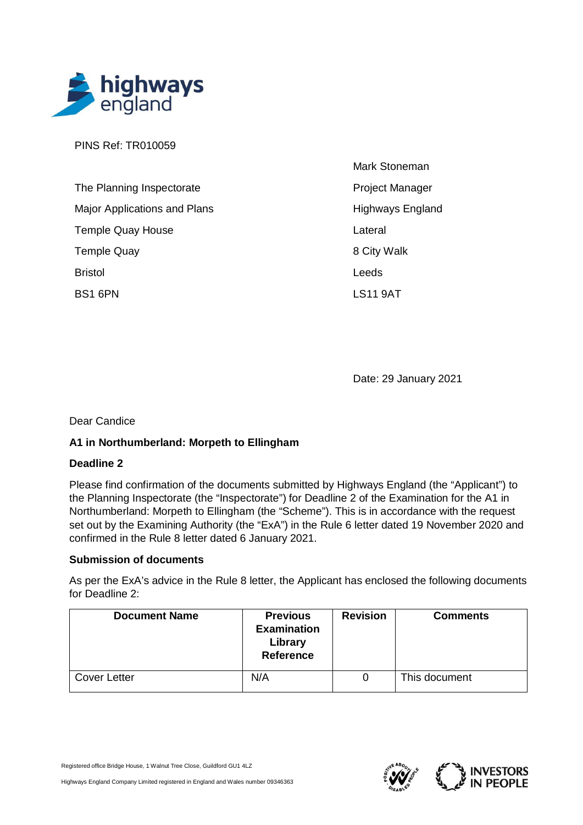

PINS Ref: TR010059

| The Planning Inspectorate    | <b>Project Manager</b>  |
|------------------------------|-------------------------|
| Major Applications and Plans | <b>Highways England</b> |
| <b>Temple Quay House</b>     | Lateral                 |
| <b>Temple Quay</b>           | 8 City Walk             |
| <b>Bristol</b>               | Leeds                   |
| BS1 6PN                      | <b>LS11 9AT</b>         |

Date: 29 January 2021

Mark Stoneman

Dear Candice

# **A1 in Northumberland: Morpeth to Ellingham**

# **Deadline 2**

Please find confirmation of the documents submitted by Highways England (the "Applicant") to the Planning Inspectorate (the "Inspectorate") for Deadline 2 of the Examination for the A1 in Northumberland: Morpeth to Ellingham (the "Scheme"). This is in accordance with the request set out by the Examining Authority (the "ExA") in the Rule 6 letter dated 19 November 2020 and confirmed in the Rule 8 letter dated 6 January 2021.

## **Submission of documents**

As per the ExA's advice in the Rule 8 letter, the Applicant has enclosed the following documents for Deadline 2:

| <b>Document Name</b> | <b>Previous</b><br><b>Examination</b><br>Library<br><b>Reference</b> | <b>Revision</b> | <b>Comments</b> |
|----------------------|----------------------------------------------------------------------|-----------------|-----------------|
| <b>Cover Letter</b>  | N/A                                                                  |                 | This document   |

Registered office Bridge House, 1 Walnut Tree Close, Guildford GU1 4LZ

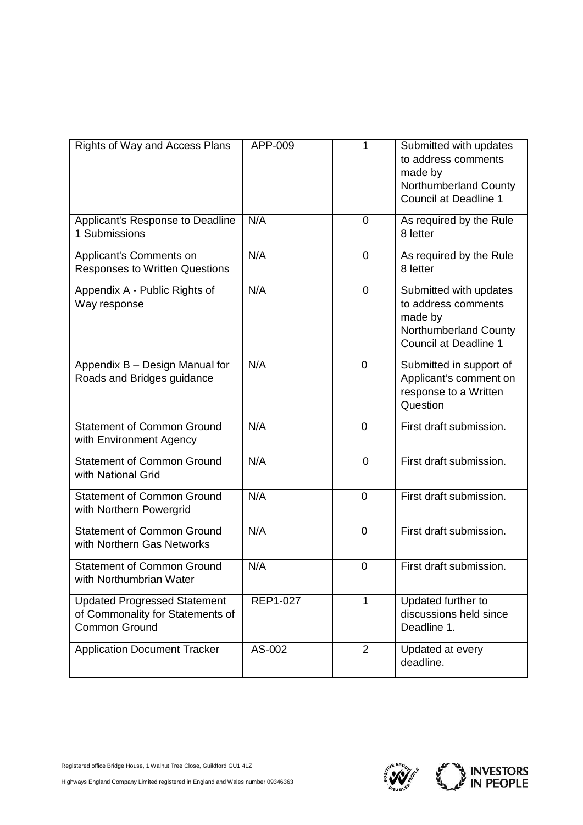| Rights of Way and Access Plans                                                                  | APP-009  | 1              | Submitted with updates<br>to address comments<br>made by<br>Northumberland County<br><b>Council at Deadline 1</b> |
|-------------------------------------------------------------------------------------------------|----------|----------------|-------------------------------------------------------------------------------------------------------------------|
| Applicant's Response to Deadline<br>1 Submissions                                               | N/A      | $\overline{0}$ | As required by the Rule<br>8 letter                                                                               |
| Applicant's Comments on<br><b>Responses to Written Questions</b>                                | N/A      | 0              | As required by the Rule<br>8 letter                                                                               |
| Appendix A - Public Rights of<br>Way response                                                   | N/A      | $\mathbf 0$    | Submitted with updates<br>to address comments<br>made by<br>Northumberland County<br><b>Council at Deadline 1</b> |
| Appendix B - Design Manual for<br>Roads and Bridges guidance                                    | N/A      | 0              | Submitted in support of<br>Applicant's comment on<br>response to a Written<br>Question                            |
| <b>Statement of Common Ground</b><br>with Environment Agency                                    | N/A      | 0              | First draft submission.                                                                                           |
| <b>Statement of Common Ground</b><br>with National Grid                                         | N/A      | $\overline{0}$ | First draft submission.                                                                                           |
| <b>Statement of Common Ground</b><br>with Northern Powergrid                                    | N/A      | 0              | First draft submission.                                                                                           |
| <b>Statement of Common Ground</b><br>with Northern Gas Networks                                 | N/A      | 0              | First draft submission.                                                                                           |
| <b>Statement of Common Ground</b><br>with Northumbrian Water                                    | N/A      | 0              | First draft submission.                                                                                           |
| <b>Updated Progressed Statement</b><br>of Commonality for Statements of<br><b>Common Ground</b> | REP1-027 | $\mathbf 1$    | Updated further to<br>discussions held since<br>Deadline 1.                                                       |
| <b>Application Document Tracker</b>                                                             | AS-002   | $\overline{2}$ | Updated at every<br>deadline.                                                                                     |



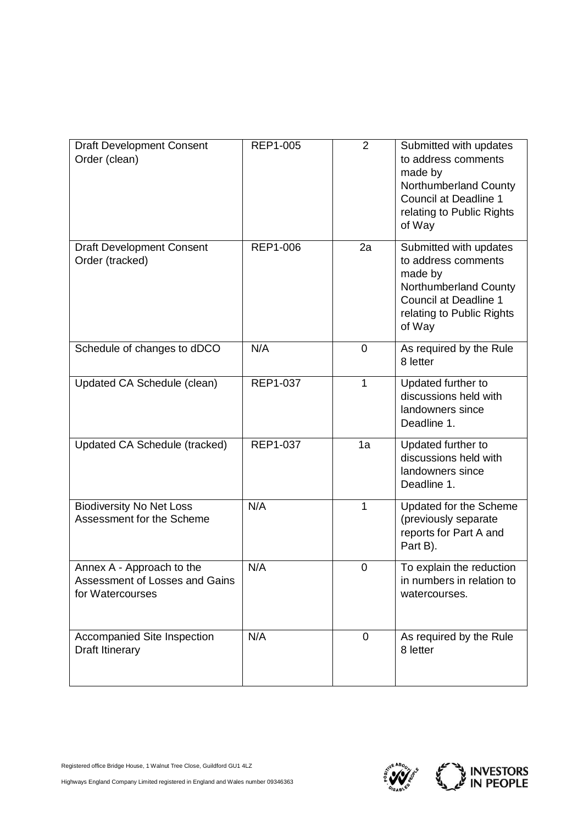| <b>Draft Development Consent</b><br>Order (clean)                               | <b>REP1-005</b> | $\overline{2}$ | Submitted with updates<br>to address comments<br>made by<br>Northumberland County<br><b>Council at Deadline 1</b><br>relating to Public Rights<br>of Way |
|---------------------------------------------------------------------------------|-----------------|----------------|----------------------------------------------------------------------------------------------------------------------------------------------------------|
| <b>Draft Development Consent</b><br>Order (tracked)                             | <b>REP1-006</b> | 2a             | Submitted with updates<br>to address comments<br>made by<br>Northumberland County<br><b>Council at Deadline 1</b><br>relating to Public Rights<br>of Way |
| Schedule of changes to dDCO                                                     | N/A             | 0              | As required by the Rule<br>8 letter                                                                                                                      |
| Updated CA Schedule (clean)                                                     | REP1-037        | $\mathbf{1}$   | Updated further to<br>discussions held with<br>landowners since<br>Deadline 1.                                                                           |
| Updated CA Schedule (tracked)                                                   | <b>REP1-037</b> | 1a             | Updated further to<br>discussions held with<br>landowners since<br>Deadline 1.                                                                           |
| <b>Biodiversity No Net Loss</b><br>Assessment for the Scheme                    | N/A             | $\mathbf{1}$   | Updated for the Scheme<br>(previously separate<br>reports for Part A and<br>Part B).                                                                     |
| Annex A - Approach to the<br>Assessment of Losses and Gains<br>for Watercourses | N/A             | 0              | To explain the reduction<br>in numbers in relation to<br>watercourses.                                                                                   |
| Accompanied Site Inspection<br><b>Draft Itinerary</b>                           | N/A             | $\mathbf 0$    | As required by the Rule<br>8 letter                                                                                                                      |



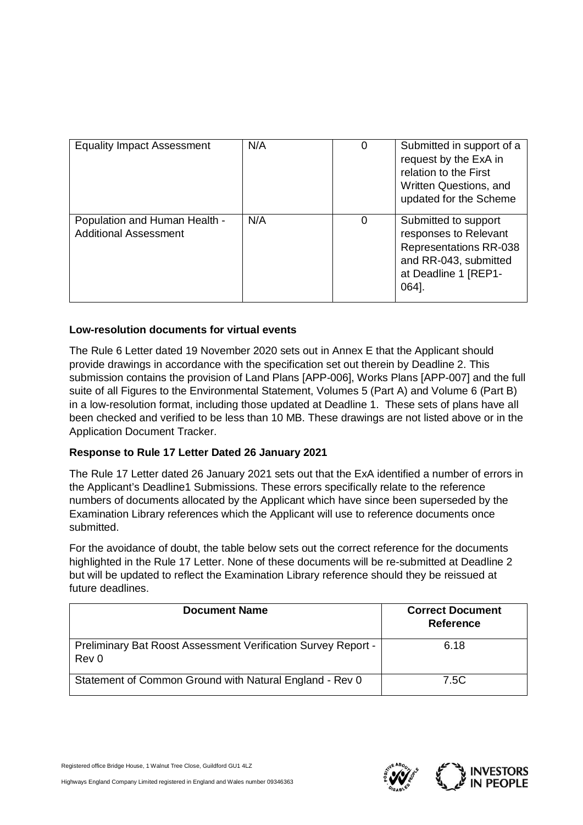| <b>Equality Impact Assessment</b>                             | N/A | 0 | Submitted in support of a<br>request by the ExA in<br>relation to the First<br>Written Questions, and<br>updated for the Scheme          |
|---------------------------------------------------------------|-----|---|------------------------------------------------------------------------------------------------------------------------------------------|
| Population and Human Health -<br><b>Additional Assessment</b> | N/A | 0 | Submitted to support<br>responses to Relevant<br><b>Representations RR-038</b><br>and RR-043, submitted<br>at Deadline 1 [REP1-<br>064]. |

# **Low-resolution documents for virtual events**

The Rule 6 Letter dated 19 November 2020 sets out in Annex E that the Applicant should provide drawings in accordance with the specification set out therein by Deadline 2. This submission contains the provision of Land Plans [APP-006], Works Plans [APP-007] and the full suite of all Figures to the Environmental Statement, Volumes 5 (Part A) and Volume 6 (Part B) in a low-resolution format, including those updated at Deadline 1. These sets of plans have all been checked and verified to be less than 10 MB. These drawings are not listed above or in the Application Document Tracker.

# **Response to Rule 17 Letter Dated 26 January 2021**

The Rule 17 Letter dated 26 January 2021 sets out that the ExA identified a number of errors in the Applicant's Deadline1 Submissions. These errors specifically relate to the reference numbers of documents allocated by the Applicant which have since been superseded by the Examination Library references which the Applicant will use to reference documents once submitted.

For the avoidance of doubt, the table below sets out the correct reference for the documents highlighted in the Rule 17 Letter. None of these documents will be re-submitted at Deadline 2 but will be updated to reflect the Examination Library reference should they be reissued at future deadlines.

| <b>Document Name</b>                                                   | <b>Correct Document</b><br><b>Reference</b> |
|------------------------------------------------------------------------|---------------------------------------------|
| Preliminary Bat Roost Assessment Verification Survey Report -<br>Rev 0 | 6.18                                        |
| Statement of Common Ground with Natural England - Rev 0                | 7.5C                                        |